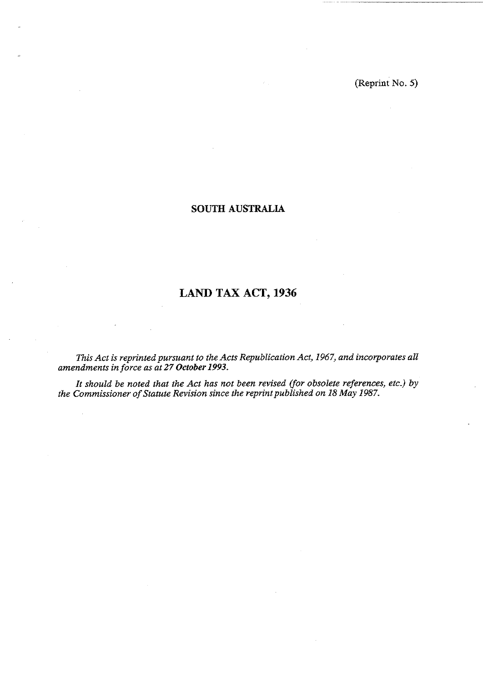## **SOUTH AUSTRALIA**

# **LAND TAX ACT, 1936**

*This Act is reprinted pursuant to the Acts Republication Act, 1967, and incorporates all amendments in force as at 27 October 1993.* 

*It should be noted that the Act has not been revised (for obsolete references, etc.) by the Commissioner of Statute Revision since the reprint published on 18 May 1987.*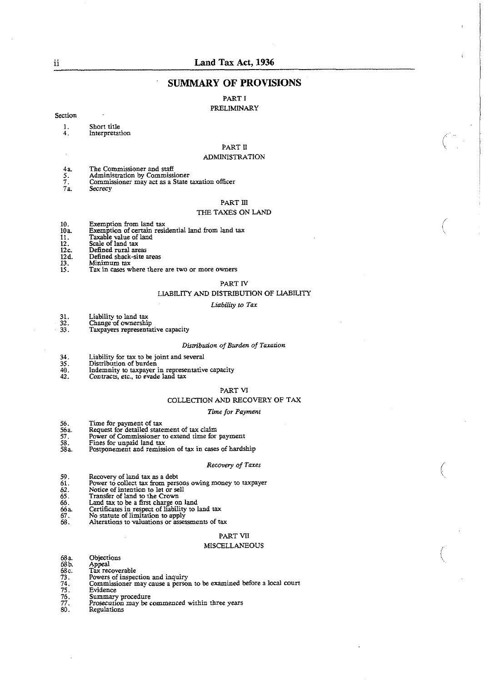## **SUMMARY OF PROVISIONS**

#### PART I PRELIMINARY

#### Section

- 1. Short title<br>4. Interpretat
	- **Interpretation**

## PART I1

#### ADMINlSTRATION

- 
- **4a** Tbe Commissioner and staff 5. Administration by Commissioner
- 5. Administration by Commissioner<br>7. Commissioner may act as a State taxation officer<br>7a. Secrecy
- **72** Secrecy

#### PART Ill

#### THE TAXES ON LAND

- 
- 10. Exemption from land tax 10a Exemption of certain residential land \*om land tax
- 11. Taxable value of land 12. Scale of land tax
- 
- 12c. Defined rural areas<br>12d. Defined shack-site a
- 
- 12d. Defined shack-site areas<br>13. Minimum tax<br>15. Tax in cases where there
- 13. Minimum **tar 15.** Tax in **cases** where lhere are two or more owners

#### PART N LIABILITY AND DISTRIBUTION OF LIABILITY

#### Liability **to Tax**

- 31. Liability to land tax<br>32. Change of ownershi<br>33. Taxpayers represent
- Change of ownership
- Taxpayers representative capacity

#### *Disaibhn of Burden of Taxation*

- 34. Liability for tax to be joint and several<br>35. Distribution of burden<br>40. Indemnity to taxpayer in representative
- Distribution of burden
- 
- 40. Indemnity to taxpayer in re resenntive capacir) **42.** Conrracrs, etc.. to evade lani **tax** 
	-

#### PART VI

#### COLLECTION AND RECOVERY OF TAX

#### *Time for* Payment

- 
- 56. Time for payment of tax 56a. Request for detailed statement of tax claim
- 
- 
- 56. Time for payment of tax<br>
56 a. Request for detailed statement of tax claim<br>
57. Power of Commissioner to extend time for payment<br>
58. Fines for unpaid land tax<br>
58a. Postponement and remission of tax in cases of hards 58. Fines for unpaid land tax 58a. Postponement and remission of **tax** in **cases** of hardship

#### *Recovery of Taxes*

- 
- 59. Recovery of land tax as a debt 61. Power to collect tax from persons owing money to taxpayer
- **62.** Notice of intention to let or sell 65. Transfer of land to the Crown
- 
- **66.** Land **tax** to be a first charge on land
- **66a** Certificates in repepect of liability to land tax 66. Certificates in respect of liability<br>67. No statute of limitation to apply<br>68. Alterations to valuations or asses
- 
- Alterations to valuations or assessments of tax

#### PART VII

#### MISCELLANEOUS

- 
- 
- 
- 
- 
- 
- 
- 68a. Objections<br>
68b. Appeal<br>
68c. Tax recoverable<br>
73. Powers of inspection and inquiry<br>
74. Commissioner may cause a person<br>
76. Summary procedure<br>
77. Prosecution may be commenced v 76. Summary procedure<br>77. Prosecution may be commenced within three years
- 80. Regulations

. .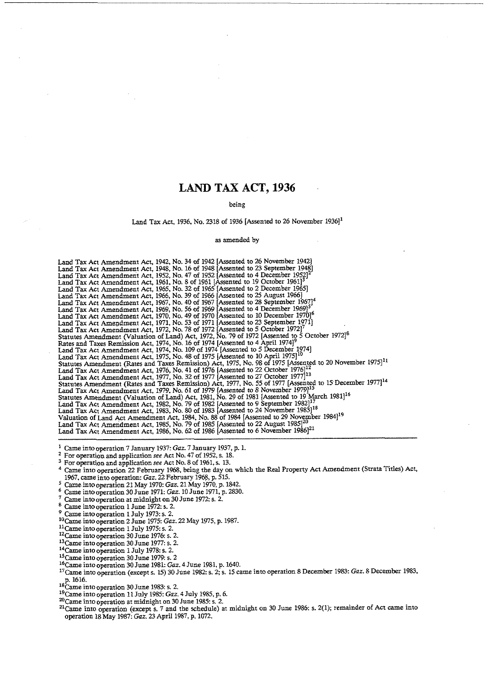## **LAND TAX ACT, 1936**

#### being

#### Land Tax Act, 1936, No. 2318 of 1936 [Assented to 26 November  $1936$ ]<sup>1</sup>

#### as amended by

Land Tax Act Amendment Act, 1942, No. 34 of 1942 [Assented to 26 November 1942] Land Tax Act Amendment Act, 1948, No. 16 of 1948 (Assented to 23 September 1948) Land Tax Act Amendment Act, 1952, No. 47 of 1952 [Assented to 4 December 19521' Land Tax Act Amendment Act, 1961, No. 8 of 1961 [Assented to 19 October 1961]<sup>3</sup><br>Land Tax Act Amendment Act, 1965, No. 32 of 1965 [Assented to 2 December 1965]

<sup>1</sup> Came into operation 7 January 1937: *Gaz.* 7 January 1937, p. 1.

 $\overline{2}$ For operation and application see Act No. 47 of 1952, s. 18.

3 For operation and application see Act No. 8 of 1961, s. 13.

Came into operation 22 February 1968, being the day on which the Real Property Act Amendment (Strata Titles) Act, 1967, came into operation: *Gaz*. 22 February 1968, p. 515.

Came into operation 21 May 1970: *Gaz*. 21 May 1970, p. 1842.

Came into operation 30 June 1971: *Gaz.* 10 June 1971, p. 2830.

Came into operation at midnight on 30 June 1972: s. 2.

Came into operation 1 June 1972: s. 2.

Came intooperation **1** July 1973: s. 2.

<sup>10</sup> Came into operation 2 June 1975: *Gaz.* 22 May 1975, p. 1987.

 $11$ Came into operation 1 July 1975: s. 2.

<sup>12</sup> Came into operation 30 June 1976: s. 2.

<sup>13</sup>Came into operation 30 June 1977: s. 2.

14Came into operation 1 July 197% s. 2.

<sup>15</sup> Came into operation 30 June 1979: s. 2

I6Came intooperation 30 June 1981: *Gar.* 4 June 1981, p. 1640.

<sup>17</sup> Came into operation (except s. 15) 30 June 1982: s. 2; s. 15 came into operation 8 December 1983: *Gaz*. 8 December 1983, <sup>1</sup>'Came into operation (except s. 15) 30 J<br>p. 1616.<br><sup>18</sup>Came into operation 30 June 1983: s. 2.

<sup>19</sup>Came into operation 11 July 1985: *Gaz.* 4 July 1985, p. 6.<br><sup>20</sup>Came into operation at midnight on 30 June 1985: s. 2.

<sup>21</sup> Came into operation (except s. 7 and the schedule) at midnight on 30 June 1986: s. 2(1); remainder of Act came into operation 18 May 1981: *Gaz.* 23 April 1987, p. 1072.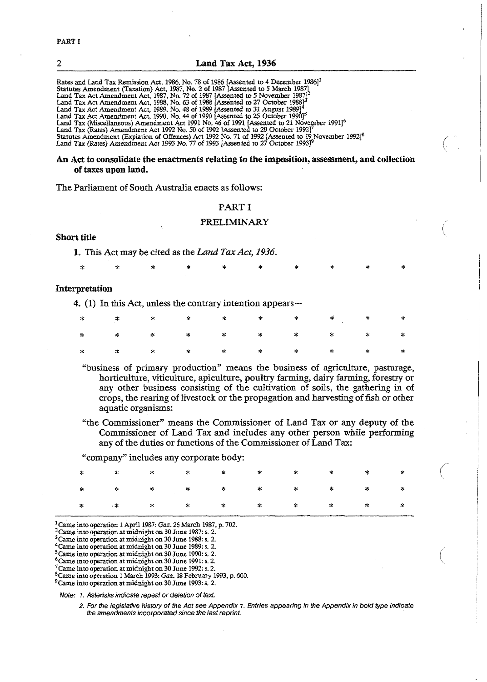| LAHU IAA ACL IJJU                                                                                              |
|----------------------------------------------------------------------------------------------------------------|
|                                                                                                                |
| Rates and Land Tax Remission Act, 1986, No. 78 of 1986 [Assented to 4 December 1986] <sup>1</sup>              |
| Statutes Amendment (Taxation) Act, 1987, No. 2 of 1987 [Assented to 5 March 1987]                              |
| Land Tax Act Amendment Act, 1987, No. 72 of 1987 [Assented to 5 November 1987] <sup>2</sup>                    |
| Land Tax Act Amendment Act, 1988, No. 63 of 1988 [Assented to 27 October 1988] <sup>3</sup>                    |
| Land Tax Act Amendment Act, 1989, No. 48 of 1989 [Assented to 31 August 1989] <sup>4</sup>                     |
| Land Tax Act Amendment Act, 1990, No. 44 of 1990 [Assented to 25 October 1990] <sup>5</sup>                    |
| Land Tax (Miscellaneous) Amendment Act 1991 No. 46 of 1991 [Assented to 21 November 1991] <sup>6</sup>         |
| Land Tax (Rates) Amendment Act 1992 No. 50 of 1992 [Assented to 29 October 1992]'                              |
| Statutes Amendment (Expiation of Offences) Act 1992 No. 71 of 1992 [Assented to 19 November 1992] <sup>8</sup> |

Land Tax (Rates) Amendment Act 1993 No. 77 of 1993 [Assented to 27 October 1993] $^9$ 

#### An Act to consolidate the enactments relating to the imposition, assessment, and collection of **taxes** upon land.

2 Land **Tax** Act, **1936** 

The Parliament of South Australia enacts as follows:

#### PART I

#### PRELIMINARY

## Short title

**1.** This Act may be cited as the *Land Tax Act, 1936.* 

#### Interpretation

4. (1) In this Act, unless the contrary intention appears—

"business of primary production" means the business of agriculture, pasturage, horticulture, viticulture, apiculture, poultry farming, dairy farming, forestry or any other business consisting of the cultivation of soils, the gathering in of crops, the rearing of livestock or the propagation and harvesting of fish or other aquatic organisms:

"the Commissioner" means the Commissioner of Land **Tax** or any deputy of the Commissioner of Land Tax and includes any other person while performing any of the duties or functions of the commissibner of Land **Tax:** 

"company" includes any corporate body:

| $\begin{array}{ccccccccccccccccccccc} \ast & \times & \times & \times & \times & \times & \times & \times & \times & \times & \times \end{array}$ |  |  |  |  |
|---------------------------------------------------------------------------------------------------------------------------------------------------|--|--|--|--|

'Came into operation 1 April 1987: **Gar.** 26 March 1987, p. 702.

 $^2$ Came into operation at midnight on 30 June 1987: s. 2.

 $^3$ Came into operation at midnight on 30 June 1988: s. 2.

 $^4$ Came into operation at midnight on 30 June 1989: s. 2.

 $^5$ Came into operation at midnight on 30 June 1990: s. 2.

6Came into operation at midnight on 30 June 1991: s. 2.

 $7$ Came into operation at midnight on 30 June 1992: s. 2.

'Came into operation 1 March 1993: Gaz. 18 February 1993, p. 600. 9Came into operation at midnight on 30 June 1993: **s.** 2.

Note: *I.* Asterisks indicate repeal or deletion of text.

**2.** For the legislative history of the Act see Appendix **1.** Entries appearing in Me Appendix in bold type indicate the amendments incorporated since the last reprint.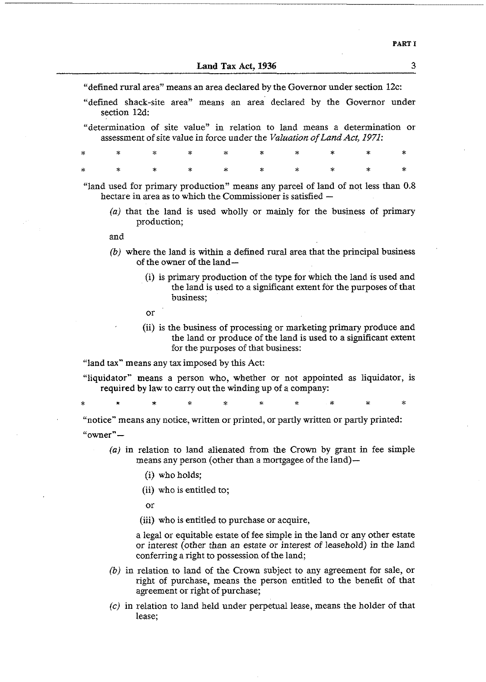"defined rural area"' means an area declared by the Governor under section 12c:

- "defined shack-site area" means an area' declared by the Governor under section **12d:**
- "determination of site value" in relation to land means a determination or assessment of site value in force under the *Valaation of Land Act, 1971:*

|  |  |  |  | $\begin{array}{ccccccccccccccccccccc} \ast & \times & \times & \times & \times & \times & \times & \times & \times & \times & \times & \times \end{array}$ |  |
|--|--|--|--|------------------------------------------------------------------------------------------------------------------------------------------------------------|--|
|  |  |  |  |                                                                                                                                                            |  |

"land used for primary production" means any parcel of land of not less than 0.8 hectare in area as to which the Commissioner is satisfied -

(a) that the land is used wholly or mainly for the business of primary production;

and

- (b) where the land is within a defined rural area that the principal business of the owner of the land-
	- (i) is primary production of the type for which the land is used and the land is used to a significant extent for the purposes of that business;
	- or
	- **(i)** is the business of processing or marketing primary produce and the land or produce of the land is used to a significant extent for the purposes of that business:

"land tax" means any tax imposed by this Act:

"liquidator" means a person who, whether or not appointed as liquidator, is required **by** law to carry out the winding up of a company:

"notice" means any notice, written or printed, or partly written or partly printed:  $"$ owner" $-$ 

- (a) in relation to land alienated from the Crown by grant in fee simple means any person (other than a mortgagee of the land)-
	- (i) who holds;
	- (ii) who is entitled to;

or

(iii) who is entitled to purchase or acquire,

a legal or equitable estate of fee simple in the land or any other estate or interest (other than an estate or interest of leasehold) in the land conferring a right to possession of the land;

- *(b)* in relation to land of the Crown subject to any agreement for sale, or right of purchase, means the person entitled to the benefit of that agreement or right of purchase;
- (c) in relation to land held under perpetual lease, means the holder of that lease:

**3**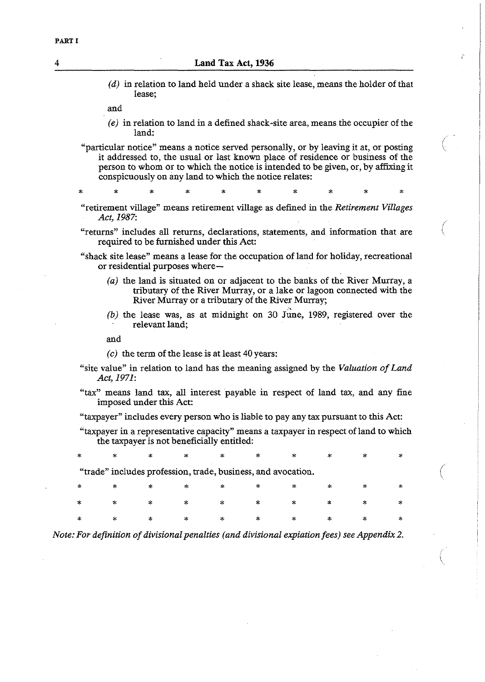*(d)* in relation to land held under a shack site lease, means the holder of that lease;

and

*(e)* in relation to land in a defined shack-site area, means the occupier of the land:

"particular notice" means a notice served personally, or by leaving it at, or posting it addressed to, the usual or last known place of residence or business of the person to whom or to which the notice is intended to be given, or, by affixing it conspicuously on any land to which the notice relates:

"retirement village" means retirement village as defined in the *Retirement Villages Act, 1987:* 

"returns" includes all returns, declarations, statements, and information that are required to be furnished under this Act:

- "shack site lease" means a lease for the occupation of land for holiday, recreational or residential purposes where-
	- *(a)* the land is situated on or adjacent to the banks of the River Murray, a tributary of the River Murray, or a lake or lagoon connected **with** the River Murray or a tributary of the River Murray;

/

 $(b)$  the lease was, as at midnight on 30  $J$ une, 1989, registered over the relevant land;

and

*(c)* the term of the lease is at least 40 years:

- "site value" in relation to land has the meaning assigned by the *Valuation of Land Act, 1971:*
- "tax" means land tax, all interest payable in respect of land tax, and any fine imposed under this Act:

"taxpayer" includes every person who is liable to pay any tax pursuant to this Act:

"taxpayer in a representative capacity" means a taxpayer in respect of land to which the taxpayer is not beneficially entitled:

"trade" includes profession, trade, business, and avocation. \* \* \* \* \* \* \* \* \* \*  $\ast$ 

*Note: For definition of divisional penalties (and divisional expiation fees) see Appendix 2.*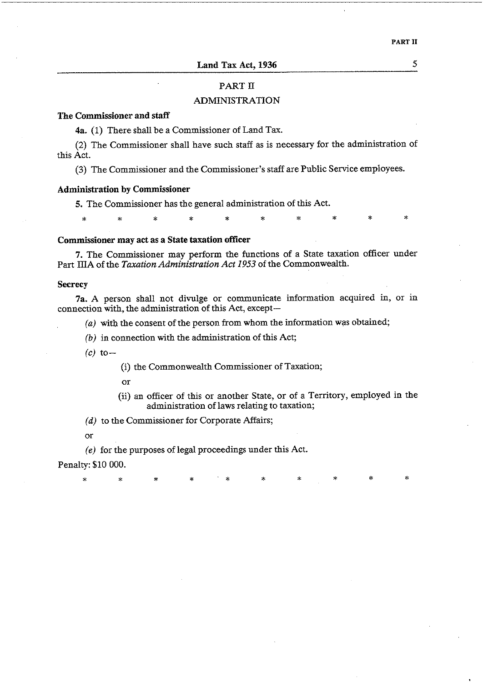**Land Tax Act, 1936** 5

## PART **11**

## ADMINISTRATION

## The Commissioner and **staff**

4a. **(1)** There shall be a Commissioner of Land Tax.

(2) The Commissioner shall have such staff as is necessary for the administration of this Act.

**(3)** The Commissioner and the Commissioner's staff are Public Service employees.

## Administration by Commissioner

**5.** The Commissioner has the general administration of this Act.

\* \* \* \* \* \* \* \* \* \*

## Commissioner may act as a State taxation officer

7. The Commissioner may perform the functions of a State taxation officer under Part IIIA of the *Taxation Administration Act I953* of the Commonwealth.

#### **Secrecy**

7a. A person shall not divulge or communicate information acquired in, or in connection with, the administration of this Act, except-

- (a) **with** the consent of the person from whom the information was obtained;
- (b) in connection with the administration of this Act;

 $(c)$  to  $-$ 

(i) the Commonwealth Commissioner of Taxation;

or

(ii) an officer of this or another State, or of a Territory, employed in the administration of laws relating to taxation;

(d) to the Commissioner for Corporate Affairs;

or

*(e)* for the purposes of legal proceedings under this Act.

Penalty: \$10 000.

\* \* \* \* \* \* \* \* \* \*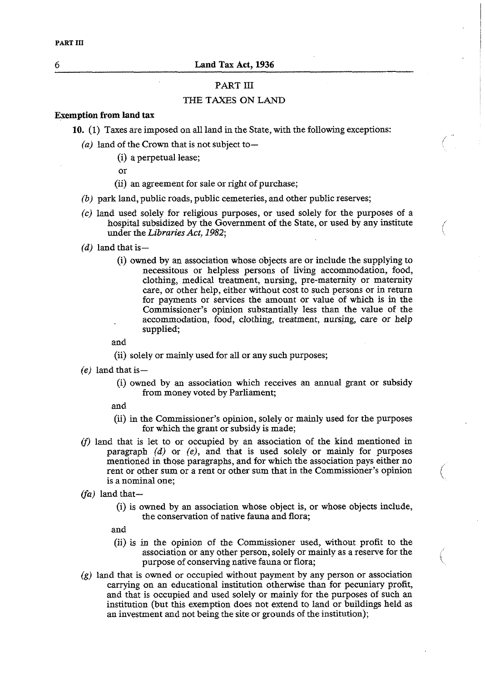## PART **I11**

## THE TAXES **ON** LAND

## **Exemption from land tax**

- **10. (1)** Taxes are imposed on all land in the State, with the following exceptions:
	- (a) land of the Crown that is not subject to $-$ 
		- (i) a perpetual lease;
		- or
		- (ii) an agreement for sale or right of purchase;
	- *(b)* park land, public roads, public cemeteries, and other public reserves;
	- *(c)* land used solely for religious purposes, or used solely for the purposes of a hospital subsidized by the Government of the State, or used by any institute under the *Libraries Act, I982;* (
	- $(d)$  land that is  $-$ 
		- (i) owned by an association whose objects are or include the supplying to necessitous or helpless persons of living accommodation, food, clothing, medical treatment, nursing, pre-maternity or maternity care, or other help, either without cost to such persons or in return for payments or services the amount or value of which is in the Commissioner's opinion substantially less than the value of the accommodation, food, clothing, treatment, nursing, care or help supplied;

and

- (ii) solely or mainly used for all or any such purposes;
- *(e)* land that is-
	- (i) owned by an association which receives an annual grant or subsidy from money voted by Parliament;

and

- (ii) in the Commissioner's opinion, solely or mainly used for the purposes for which the grant or subsidy is made;
- $(f)$  land that is let to or occupied by an association of the kind mentioned in paragraph *(d)* or *(e),* and that is used solely or mainly for purposes mentioned in those paragraphs, and for which the association pays either no rent or other sum or a rent or other sum that in the Commissioner's opinion is a nominal one;
- *(fa)* land that-
	- (i) is owned by an association whose object is, or whose objects include, the conservation of native fauna and flora;

and

(ii) is in the opinion of the Commissioner used, without profit to the association or any other person, solely or mainly as a reserve for the purpose of conserving native fauna or flora;

 $\big\backslash$ 

 $(g)$  land that is owned or occupied without payment by any person or association carrying on an educational institution otherwise than for pecuniary profit, and that is occupied and used solely or mainly for the purposes of such an institution (but this exemption does not extend to land or buildings held as an investment and not being the site or grounds of the institution);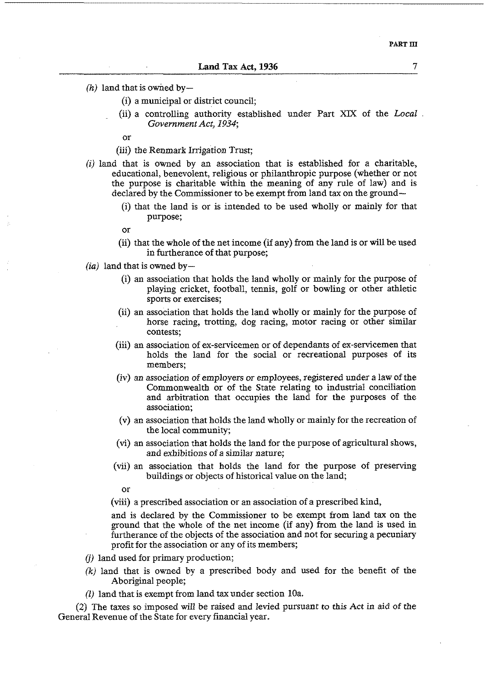$(h)$  land that is owned by-

- (i) a municipal or district council;
- (ii) a controlling authority established under Part XIX of the Local. Government Act, *1934;*

or

- (iii) the Renmark Irrigation Trust;
- $(i)$  land that is owned by an association that is established for a charitable, educational, benevolent, religious or philanthropic purpose (whether or not the purpose is charitable within the meaning of any rule of law) and is declared by the Commissioner to be exempt from land tax on the ground-
	- (i) that the land is or is intended to be used wholly or mainly for that purpose;
	- or
	- (ii) that the whole of the net income (if any) from the land is or will be used in furtherance of that purpose;
- $(ia)$  land that is owned by-
	- (i) an association that holds the land wholly or mainly for the purpose of playing cricket, football, tennis, golf or bowling or other athletic sports or exercises;
	- (ii) an association that holds the land wholly or mainly for the purpose of horse racing, trotting, dog racing, motor racing or other similar contests;
	- (iii) an association of ex-servicemen or of dependants of ex-servicemen that holds the land for the social or recreational purposes of its members;
	- (iv) an association of employers or employees, registered under a law of the Commonwealth or of the State relating to industrial conciliation and arbitration that occupies the land for the purposes of the association;
	- **(v)** an association that holds the land wholly or mainly for the recreation of the local community;
	- (vi) an association that holds the land for the purpose of agricultural shows, and exhibitions of a similar nature;
	- (vii) an association that holds the land for the purpose of preserving buildings or objects of historical value on the land;

or

(viii) a prescribed association or an association of a prescribed kind,

and is declared by the Commissioner to be exempt from land tax on the ground that the whole of the net income (if any) from the land is used in furtherance of the objects of the association and not for securing a pecuniary profit for the association or any of its members;

- *6)* land used for primary production;
- (k) land that is owned by a prescribed body and used for the benefit of the Aboriginal people;
- (1) land that is exempt from land tax under section 10a.

(2) The taxes so imposed will be raised and levied pursuant to this Act in aid of the General Revenue of the State for every financial year.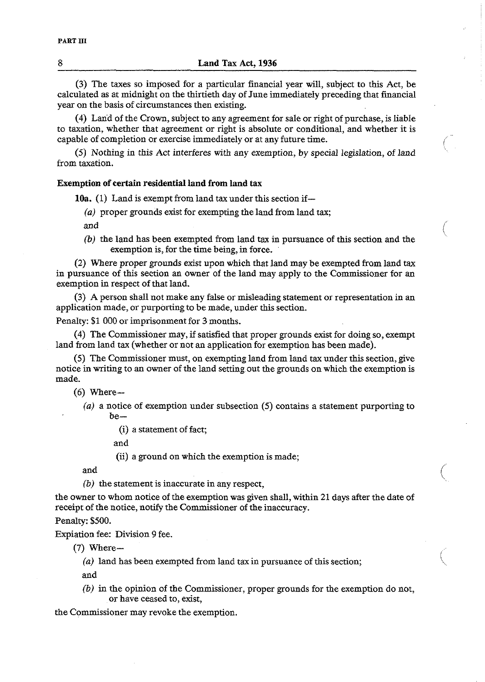(3) The taxes so imposed for a particular financial year will, subject to this Act, be calculated as at midnight on the thirtieth day of June immediately preceding that financial year on the basis of circumstances then existing.

(4) Land of the Crown, subject to any agreement for sale or right of purchase, is liable to taxation, whether that agreement or right is absolute or conditional, and whether it is capable of completion or exercise immediately or at any future time.

(5) Nothing in this Act interferes with any exemption, by special legislation, of land from taxation.

## Exemption of certain residential land from land tax

10a.  $(1)$  Land is exempt from land tax under this section if-

*(a)* proper grounds exist for exempting the land from land tax;

and

**(b)** the land has been exempted from land tax in pursuance of this section and the exemption is, for the time being, in force.

(2) Where proper grounds exist upon which that land may be exempted from land tax in pursuance of this section an owner of the land may apply to the Commissioner for an exemption in respect of that land.

(3) A person shall not make any false or misleading statement or representation in an application made, or purporting to be made, under this section.

Penalty: \$1 000 or imprisonment for **3** months.

(4) The Commissioner may, if satisfied that proper grounds exist for doing so, exempt land from land tax (whether or not an application for exemption has been made).

(5) The Commissioner must, on exempting land from land tax under this section, give notice in writing to an owner of the land setting out the grounds on which the exemption is made.

*(6)* Where-

**(a)** a notice of exemption under subsection (5) contains a statement purporting to  $he-$ 

(i) a statement of fact;

and

(ii) a ground on which the exemption is made;

and  $\left($ 

**(b)** the statement is inaccurate in any respect,

the owner to whom notice of the exemption was given shall, within 21 days after the date of receipt of the notice, notify the Commissioner of the inaccuracy.

Penalty: \$500.

Expiation fee: Division 9 fee.

 $(7)$  Where-

**(a)** land has been exempted from land **tax** in pursuance of this section;

and

**(b) in** the opinion of the Commissioner, proper grounds for the exemption do not, or have ceased to, exist,

the Commissioner may revoke the exemption.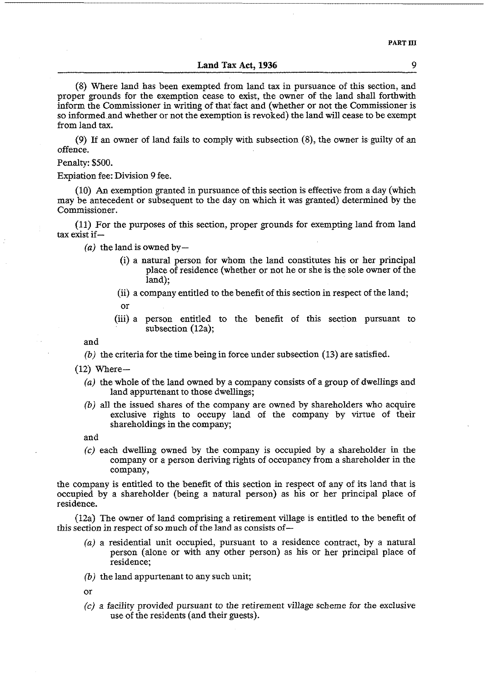**PART 111** 

#### **Land Tax** Act, 1936

(8) Where land has been exempted from land tax in pursuance of this section, and proper grounds for the exemption cease to exist, the owner of the land shall forthwith inform the Commissioner in writing of that fact and (whether or not the Commissioner is so informed and whether or not the exemption is revoked) the land will cease to be exempt from land tax.

(9) If an owner of land fails to comply with subsection (8), the owner is guilty of an offence.

Penalty: \$500.

Expiation fee: Division 9 fee.

(10) **An** exemption granted in pursuance of this section is effective from a day (which may be antecedent or subsequent to the day on which it was granted) determined by the Commissioner.

(11) For the purposes of this section, proper grounds for exempting land from land tax exist if-

 $(a)$  the land is owned by-

- (i) a natural person for whom the land constitutes his or her principal place of residence (whether or not he or she is the sole owner of the land);
- (ii) a company entitled to the benefit of this section in respect of the land;
	- or
- (iii) a person entitled to the benefit of this section pursuant to subsection (12a);

and

- *(b)* the criteria for the time being in force under subsection (13) are satisfied.
- $(12)$  Where-
	- *(a)* the whole of the land owned by a company consists of a group of dwellings and land appurtenant to those dwellings;
	- *(b)* all the issued shares of the company are owned by shareholders who acquire exclusive rights to occupy land of the company by virtue of their shareholdings in the company;

and

*(c)* each dwelling owned by the company is occupied by a shareholder in the company or a person deriving rights of occupancy from a shareholder in the company,

the company is entitled to the benefit of this section in respect of any of its land that is occupied by a shareholder (being a natural person) as his or her principal place of residence.

(12a) The owner of land comprising a retirement village is entitled to the benefit of this section in respect of so much of the land as consists of-

- *(a)* a residential unit occupied, pursuant to a residence contract, by a natural person (alone or with any other person) as his or her principal place of residence;
- *(b)* the land appurtenant to any such unit;

or

**(c)** a facility provided pursuant to the retirement village scheme for the exclusive use of the residents (and their guests).

9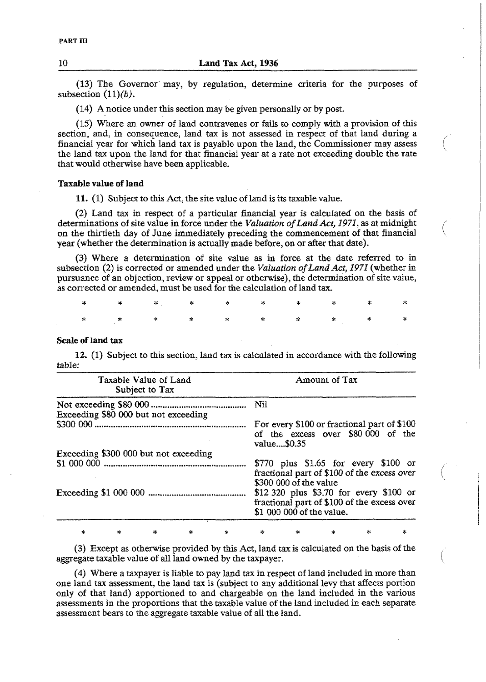(13) The Governor, may, by regulation, determine criteria for the purposes of subsection  $(11)(b)$ .

(14) **A** notice under this section may be given personally or by post.

(15) Where an owner of land contravenes or fails to comply with a provision of this section, and, in consequence, land tax is not assessed in respect of that land during a financial year for which land tax is payable upon the land, the Commissioner may assess /' the land tax upon the land for that financial year at a rate not exceeding double the rate that would otherwise have been applicable.

 $\backslash$ 

#### Taxable value **of** land

11. (1) Subject to this Act, the site value of land is its taxable value.

(2) Land tax in respect of a particular financial year is caIcuIated on the basis of determinations of site value in force under the *Valuation of Land Act, 1971,* as at midnight on the thirtieth day of June immediately preceding the commencement of that financial year (whether the determination is actually made before, on or after that date).

(3) Where a determination of site value as in force at the date referred to in subsection (2) is corrected or amended under the *Valuation of Land Act, 197I* (whether in pursuance of an objection, review or appeal or otherwise), the determination of site value, as corrected or amended, must be used for the calculation of land tax.

ż

## Scale **of** land **tax**

**12.** (1) Subject to this section, land tax is calculated in accordance with the following table:

| <b>Contract</b><br>Taxable Value of Land<br>Subject to Tax | Amount of Tax                                                                                                                                                                                                                           |
|------------------------------------------------------------|-----------------------------------------------------------------------------------------------------------------------------------------------------------------------------------------------------------------------------------------|
|                                                            |                                                                                                                                                                                                                                         |
| Exceeding \$80 000 but not exceeding                       | For every \$100 or fractional part of \$100<br>of the excess over \$80,000 of the<br>value\$0.35                                                                                                                                        |
| Exceeding \$300 000 but not exceeding                      |                                                                                                                                                                                                                                         |
|                                                            | $$770$ plus $$1.65$ for every $$100$ or<br>fractional part of \$100 of the excess over<br>\$300 000 of the value<br>\$12,320 plus \$3.70 for every \$100 or<br>fractional part of \$100 of the excess over<br>\$1 000 000 of the value. |

(3) Except as otherwise provided by this Act, land tax is calculated on the basis of the aggregate taxable value of all land owned by the taxpayer.

(4) Where a taxpayer is liable to pay land tax in respect of land included in more than one land tax assessment, the land tax is (subject to any additional levy that affects portion only of that land) apportioned to and chargeable on the land included in the various assessments in the proportions that the taxable value of the land included in each separate assessment bears to the aggregate taxable value of all the land.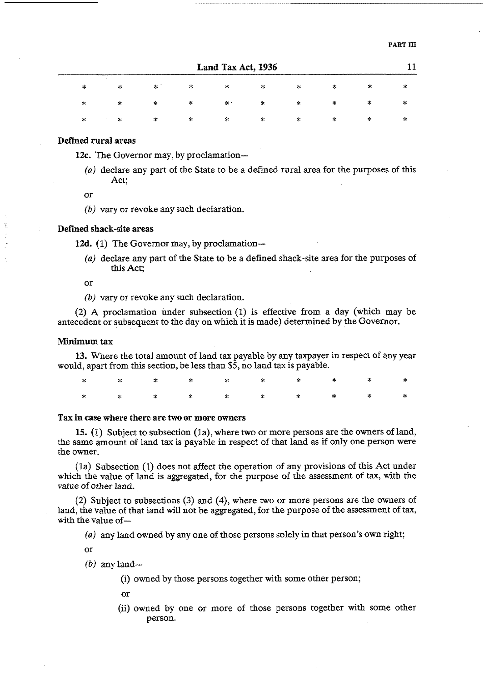|   | Land Tax Act, 1936 |        |           |              |        |   |   |        |     |  |
|---|--------------------|--------|-----------|--------------|--------|---|---|--------|-----|--|
| ∗ | ∗                  | ∗      | $\approx$ | ×            | $\geq$ | ∗ | ∗ | $\ast$ | *   |  |
| * | ∗                  | ∗      | 字         | 水。           | 朱      | 家 | ∗ | *      | ÷   |  |
| 氺 | ж.                 | $\ast$ | *         | $\mathbf{x}$ | 笨      | ∗ | 永 | *      | -55 |  |

#### Defined rural areas

12c. The Governor may, by proclamation-

(a) declare any part of the State to be a defined rural area for the purposes of this Act;

or

*(bj* vary or revoke any such declaration.

#### Defined shack-site areas

12d. (1) The Governor may, by proclamation-

(a) declare any part of the State to be a defined shack-site area for the purposes of this Act;

or

*(bj* vary or revoke any such declaration.

(2) A proclamation under subsection (1) is effective from a day (which may be antecedent or subsequent to the day on which it is made) determined by the Governor.

#### Minimum **tax**

**13.** Where the total amount of land tax payable by any taxpayer in respect of any year would, apart from this section, be less than \$5, no land tax is payable.

#### **Tax** in **case** where there are two or more owners

15. (1) Subject to subsection (la), where two or more persons are the owners of land, the same amount of land tax is payable in respect of that land as if only one person were the owner.

(la) Subsection (1) does not affect the operation of any provisions of this Act under which the value of land is aggregated, for the purpose of the assessment of tax, with the value of other land.

(2) Subject to subsections **(3)** and **(4),** where two or more persons are the owners of land, the value of that land will not be aggregated, for the purpose of the assessment of tax, with the value of-

(a) any land owned by any one of those persons solely in that person's own right;

or

 $(b)$  any land-

(i) owned by those persons together with some other person;

or

(ii) owned by one or more of those persons together with some other person.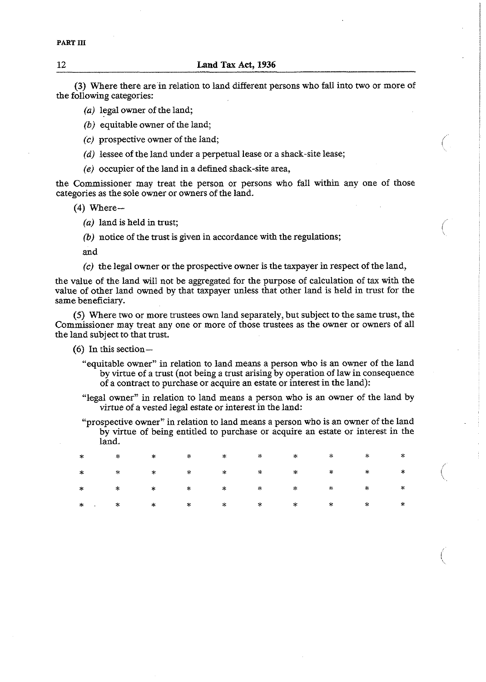**(3)** Where there are'in relation to land different persons who fall into two or more of the following categories:

- (a) legal owner of the land;
- *(b)* equitable owner of the land;
- (c) prospective owner of the land;
- (d) lessee of the land under a perpetual lease or a shack-site lease;
- *(e)* occupier of the land in a defined shack-site area,

the Commissioner may treat the person or persons who fall within any one of those categories as the sole owner or owners of the land.

- $(4)$  Where-
	- $(a)$  land is held in trust;
	- *(b)* notice of the trust is given in accordance with the regulations;

and

**(c)** the legal owner or the prospective owner is the taxpayer in respect of the land,

the value of the land will not be aggregated for the purpose of calculation of tax with the value of other land owned by that taxpayer unless that other land is held in tmst for the same beneficiary.

(5) Where two or more trustees own land separately, but subject to the same trust, the Commissioner may treat any one or more of those trustees as the owner or owners of all the land subject to that trust.

- *(6)* In this section-
	- "equitable owner" in relation to land means a person who is an owner of the land by virtue of a trust (not being a trust arising by operation of law in consequence of a contract to purchase or acquire an estate or interest in the land):
	- "legal owner" in relation to land means a person who is an owner of the land by virtue of a vested legal estate or interest in theland:
	- "prospective owner" in relation to land means a person who is an owner of the land by virtue of being entitled to purchase or acquire an estate or interest in the land.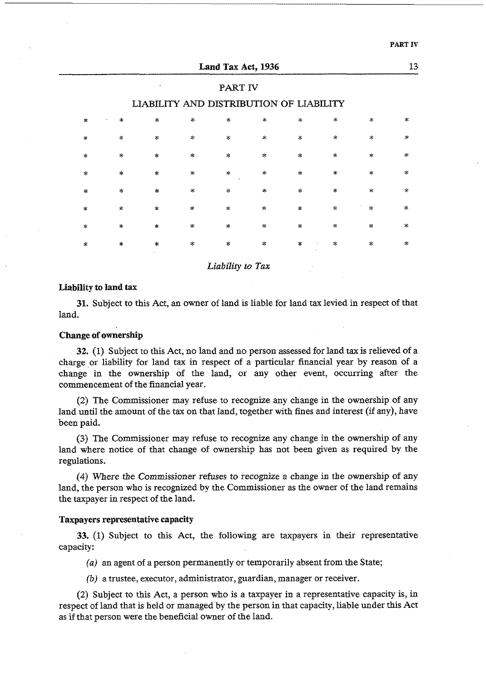| ٠<br>. .<br>ĸ<br>. . |  |
|----------------------|--|
|----------------------|--|

|               |                                         |                  |                                        | Land Tax Act, 1936 |                     |              |                    |              | 13            |  |  |  |
|---------------|-----------------------------------------|------------------|----------------------------------------|--------------------|---------------------|--------------|--------------------|--------------|---------------|--|--|--|
|               | PART IV                                 |                  |                                        |                    |                     |              |                    |              |               |  |  |  |
|               | LIABILITY AND DISTRIBUTION OF LIABILITY |                  |                                        |                    |                     |              |                    |              |               |  |  |  |
| $\ast$        | $\star$                                 | $\omega_{\rm s}$ | $\ast$                                 | $\star$            | $\star$             | $\infty$     | $\geq$             | $\star$      | $\star$       |  |  |  |
| $\star$       | $\propto$                               | $\mathcal{H}$    | $\mathbf{x}$                           | $\approx$          | $\star$             | $\mathbf{x}$ | $\gg$              | $\star$      | $\star$       |  |  |  |
| $\star$       | $\star$                                 | $\mathbf{x}$     | $\mathbf{x}$                           | $\star$            | $\mathbf{x}$        | $\mathbf{R}$ | $\star$            | $\star$      | $\sim$        |  |  |  |
| $\star$       | $\star$                                 | $\star$          | $\star$                                | $\mathbf{x}$       | $\star$             | $\approx$    | $\mathbf{x}$       | $\star$      | 永             |  |  |  |
| $\mathcal{R}$ | $\star$                                 | $\ast$           | $\mathbf{S}^{\mathbf{c}}_{\mathbf{c}}$ | $\dot{\mathbf{x}}$ | $\star$             | $\mathbf{x}$ | $\dot{\mathbf{x}}$ | $\mathbf{x}$ | $\star$       |  |  |  |
| $\ast$        | $\mathcal{A}$                           | $\mathbb{R}^d$   | $\mathcal{A}$                          | ∗                  | $\star$             | $\star$      | $\star$            | $\mathbf{x}$ | $\mathcal{R}$ |  |  |  |
| $\star$       | $\mathbf{x}$                            | $\mathcal{R}$    | $\star$                                | ×.                 | $\star$             | $\mathbf{x}$ | $\gg$              | $\pm$        | $\ast$        |  |  |  |
| $\star$       | $\approx$                               | $\mathbf{R}$     | $\star$                                | ×.                 | $\ddot{\mathbf{x}}$ | $\mathbf{x}$ | $\mathcal{L}$      | ×.           | $\ddot{\ast}$ |  |  |  |
|               |                                         |                  |                                        |                    |                     |              |                    |              |               |  |  |  |

*Liability to Tax* 

#### Liability to land **tax**

**31.** Subject to this Act, an owner of land is liable for land tax levied in respect of that land.

## Change of ownership

**32. (1)** Subject to this Act, no land and no person assessed for land **tax** is relieved of a charge or liability for land tax in respect of a particular financial year by reason of a change in the ownership of the land, or any other event, occurring after the commencement of the financial year.

(2) The Commissioner may refuse to recognize any change in the ownership of any land until the amount of the tax on that land, together with fines and interest (if any), have been paid.

**(3)** The Commissioner may refuse to recognize any change in the ownership of any land where notice of that change of ownership has not been given as required by the regulations.

(4) Where the Commissioner refuses to recognize a change in the ownership of any land, the person who is recognized by the Commissioner as the owner of the land remains the taxpayer in respect of the land.

## Taxpayers representative capacity

**33. (1)** Subject to this Act, the following are taxpayers in their representative capacity:

*(a)* an agent of a person permanently or temporarily absent from the State;

(b) a trustee, executor, administrator, guardian, manager or receiver.

(2) Subject to this Act, a person who is a taxpayer in a representative capacity is, in respect of land that is held or managed by the person in that capacity, liable under this Act as if that person were the beneficial owner of the land.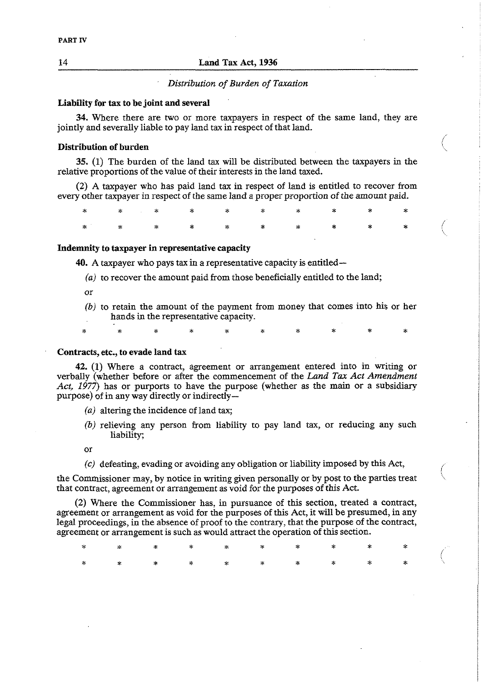## 14 **Land** Tax Act, **1936**

## *Distribution of Burden of Taxation*

#### Liability for **tax** to **be** joint and several

**34.** Where there are two or more taxpayers in respect of the same land, they are jointly and severally liable to pay land tax in respect of that land. pointly and severally havie to pay land tax in respect of that land.<br>**Distribution of burden** in the second in the second in the second in the second in the second in the second in the second in the second in the second in

**35.** (1) The burden of the land tax will be distributed between the taxpayers in the relative proportions of the value of their interests in the land taxed.

 $\mathbb{R}^2$ 

(2) A taxpayer who has paid land tax in respect of land is entitled to recover from every other taxpayer in respect of the same land a proper proportion of the amount paid.

\* \* \* \* \* \* \* \* \* \* ÷

#### Indemnity to taxpayer in representative capacity

**40. A** taxpayer who pays **tax** in a representative capacity is entitled-

- *(a)* to recover the amount paid from those beneficially entitled to the land;
- or
- *(bj* to retain the amount of the payment from money that comes into his or her hands in the representative capacity.

#### Contracts, etc., to evade land tax

**42.** (1) Where a contract, agreement or arrangement entered into in writing or verbally (whether before or after the commencement of the *Land Tax Act Amendment Act, 1977)* has or purports to have the purpose (whether as the main or a subsidiary purpose) of in any way directly or indirectly-

- (a) altering the incidence of land tax;
- *(b)* relieving any person from liability to pay land tax, or reducing any such liability;

 $\overline{or}$ 

*(c)* defeating, evading or avoiding any obligation or liability imposed by this Act,

the Commissioner may, by notice in writing given personally or by post to the parties treat that contract, agreement or arrangement as void for the purposes of this Act.

(2) Where the Commissioner has, in pursuance of this section, treated a contract, agreement or arrangement as void for the purposes of this Act, it will be presumed, in any legal proceedings, in the absence of proof to the contrary, that the purpose of the contract, agreement or arrangement is such as would attract the operation of this section.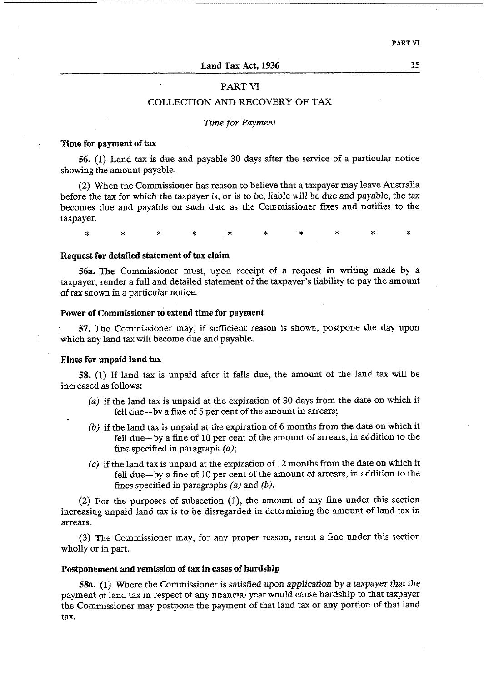#### PART **VI**

## COLLECTION AND RECOVERY OF TAX

#### Time for Payment

#### **Time for payment of tax**

56. (1) Land tax is due and payable 30 days after the service of a particular notice showing the amount payable.

(2) When the Commissioner has reason to believe that a taxpayer may leave Australia before the tax for which the taxpayer is, or is to be, liable will be due and payable, the **tax**  becomes due and payable on such date as the Commissioner fixes and notifies to the taxpayer.

÷. ż.

#### **Request for detailed statement of tax claim**

**56a.** The Commissioner must, upon receipt of a request in writing made by a taxpayer, render a full and detailed statement of the taxpayer's liability to pay the amount of **tax** shown in a particular notice.

#### **Power of Commissioner to extend time for payment**

57. The Commissioner may, if sufficient reason is shown, postpone the day upon which any land tax will become due and payable.

#### **Fines for unpaid land tax**

**58.** (1) If land tax is unpaid after it falls due, the amount of the land tax will be increased as follows:

- (a) if the land tax is unpaid at the expiration of 30 days from the date on which it fell due-by a fine of 5 per cent of the amount in arrears;
- (b) if the land tax is unpaid at the expiration of *6* months from the date on which it fell due-by a fine of 10 per cent of the amount of arrears, in addition to the fine specified in paragraph  $(a)$ ;
- **(c)** if the land tax is unpaid at the expiration of 12 months from the date on which it fell due-by a fine of 10 per cent of the amount of arrears, in addition to the fines specified in paragraphs (a) and *(b).*

(2) For the purposes of subsection (I), the amount of any fine under this section increasing unpaid land tax is to be disregarded in determining the amount of land tax in arrears.

(3) The Commissioner may, for any proper reason, remit a fine under this section wholly or in part.

#### **Postponement and remission of tax in cases of hardship**

**58a.** (1) Where the Commissioner is satisfied upon application by a taxpayer that the payment of land tax in respect of any financial year would cause hardship to that taxpayer the Commissioner may postpone the payment of that land tax or any portion of that land tax.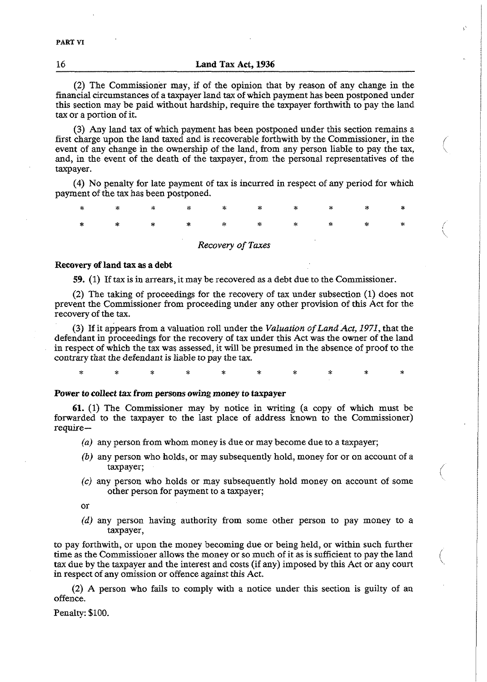**16 Land** Tax **Act, 1936** 

(2) The Commissioner may, if of the opinion that by reason of any change in the financial circumstances of a taxpayer land tax of which payment has been postponed under this section may be paid without hardship, require the taxpayer forthwith to pay the land tax or a portion of it.

(3) Any land tax of which payment has been postponed under this section remains a first charge upon the land taxed and is recoverable forthwith by the Commissioner, in the event of any change in the ownership of the land, from any person liable to pay the tax, \ and, in the event of the death of the taxpayer, from the personal representatives of the taxpayer.

(4) No penalty for late payment of tax is incurred in respect of any period for which payment of the tax has been postponed.

\* \* \* \* \* \* \* \* \* \*

#### *Recovery of* **Taxes**

#### **Recovery of land tax as a debt**

59. (1) If tax is in arrears, it may be recovered as a debt due to the Commissioner.

(2) The taking of proceedings for the recovery of tax under subsection (1) does not prevent the Commissioner from proceeding under any other provision of this Act for the recovery of the tax.

(3) If it appears from a valuation roll under the *Valuation of Land Act, 1971,* that the defendant in proceedings for the recovery of tax under this Act was the owner of the land in respect of which the tax was assessed, it will be presumed in the absence of proof to the contrary that the defendant is liable ro pay the tax.

\* \* **X** \* \* \* **z** \* \* \*

#### **Power to collect tax from persons owing money to taxpayer**

**61.** (1) The Commissioner may by notice in writing (a copy of which must be forwarded to the taxpayer to the last place of address known to the Commissioner) require-

- *(a)* any person from whom money is due or may become due to a taxpayer;
- (b) any person who holds, or may subsequently hold, money for or on account of a taxpayer; in the contract of the contract of the contract of the contract of the contract of the contract of the contract of the contract of the contract of the contract of the contract of the contract of the contract of t
- *(c)* any person who holds or may subsequently hold money on account of some other person for payment to a taxpayer;

or

*(d)* any person having authority from some other person to pay money to a taxpayer,

to pay forthwith, or upon the money becoming due or being held, or within such further time as the Commissioner allows the money or so much of it as is sufficient to pay the land tax due by the taxpayer and the interest and costs (if any) imposed by this Act or any court in respect of any omission or offence against this Act.

(2) A person who fails to comply with a notice under this section is guilty of an offence.

Penalty: \$100.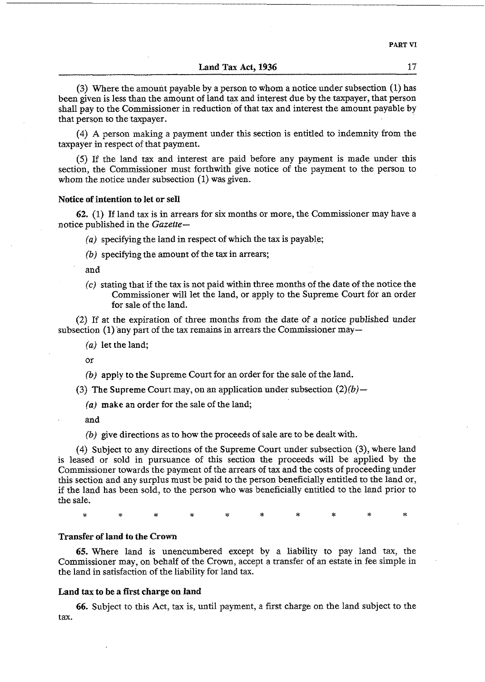#### **Land Tax** Act, **1936** *17*

**(3)** Where the amount payable by a person to whom a notice under subsection (1) has been given is less than the amount of land tax and interest due by the taxpayer, that person shall pay to the Commissioner in reduction of that tax and interest the amount payable by that person to the taxpayer.

*(4) A* person making a payment under this section is entitled to indemnity from the taxpayer in respect of that payment.

(5) If the land tax and interest are paid before any payment is made under this section, the Commissioner must forthwith give notice of the payment to the person to whom the notice under subsection (1) was given.

#### **Notice of intention to let or sell**

*62. (1)* If land tax is in arrears for six months or more, the Commissioner may have a notice published in the *Gazette-* 

*(a)* specifying the land in respect of which the tax is payable;

 $(b)$  specifying the amount of the tax in arrears;

and

(c) stating that if the tax is not paid within three months of the date of the notice the Commissioner will let the land, or apply to the Supreme Court for an order for sale of the land.

(2) If at the expiration of three months from the date of a notice published under subsection **(1)** any part of the tax remains in arrears the Commissioner may-

*(a)* let the land;

or

- (b) apply to the Supreme Court for an order for the sale of the land.
- *(3)* **The** Supreme Court may, on an application under subsection *(2)(b)-*

(a) make an order for the sale of the land;

and

*(b)* **give** directions as to how the proceeds of sale are to be dealt with.

*(4)* Subject to any directions of the Supreme Court under subsection *(3),* where land is leased or sold in pursuance of this section the proceeds will be applied by the Commissioner towards the payment of the arrears of tax and the costs of proceeding under this section and any surplus must be paid to the person beneficially entitled to the land or, if the land has been sold, to the person who was beneficially entitled to the land prior to the sale.

 $\dot{\mathbf{x}}$ 

## **Transfer of land to the Crown**

65. Where land is unencumbered except by a liability to pay land tax, the Commissioner may, on behalf of the Crown, accept a transfer of an estate in fee simple in the land in satisfaction of the liability for land tax.

#### **Land tax to be a first charge on land**

*66.* Subject to this Act, tax is, until payment, a first charge on the land subject to the tax.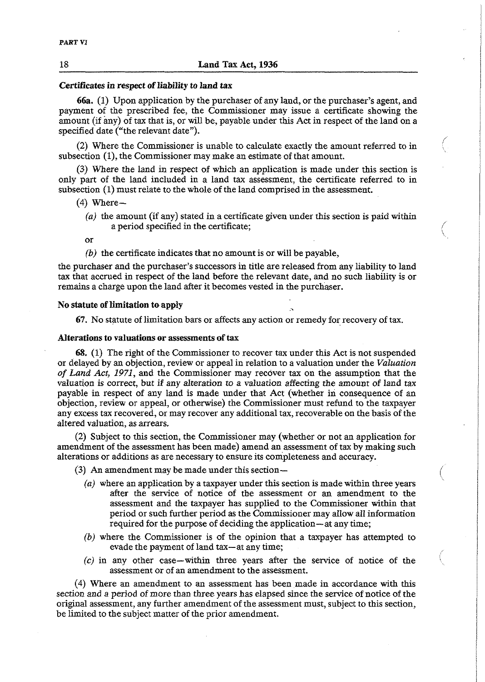#### **Certificates in respect of liability to** land **tax**

66a. (1) Upon application by the purchaser of any land, or the purchaser's agent, and payment of the prescribed fee, the Commissioner may issue a certificate showing the amount (if any) of tax that is, or will be, payable under this Act in respect of the land on a specified date ("the relevant date").

(2) Where the Commissioner is unable to calculate exactly the amount referred to in subsection (I), the Commissioner may make an estimate of that amount.

/

 $\backslash$ 

(3) Where the land in respect of which an application is made under this section is only part of the land included in a land tax assessment, the certificate referred to in subsection (1) must relate to the whole of the land comprised in the assessment.

- $(4)$  Where-
	- *(a)* the amount (if any) stated in a certificate given under this section is paid within a period specified in the certificate; /

or

*(b)* the certificate indicates that no amount is or will be payable,

the purchaser and the purchaser's successors in title are released from any liability to land tax that accrued in respect of the land before the relevant date, and no such liability is or remains a charge upon the land after it becomes vested in the purchaser.

#### **No statute of limitation** toapply

67. No statute of limitation bars or affects any action or remedy for recovery of tax.

## **Alterations to** valuations **or assessments of tax**

68. (1) The right of the Commissioner to recover tax under this Act is not suspended or delayed by an objection, review or appeal in relation to a valuation under the *Valuation of Land Act, 1971,* and the Commissioner may recover tax on the assumption that the valuation is correct, but if any alteration to a valuation affecting the amount of land tax payable in respect of any land is made under that Act (whether in consequence of an objection, review or appeal, or otherwise) the Commissioner must refund to the taxpayer any excess tax recovered, or may recover any additional tax, recoverable on the basis of the altered valuation, as arrears.

(2) Subject to this section, the Commissioner may (whether or not an application for amendment of the assessment has been made) amend an assessment of tax by making such alterations or additions as are necessary to ensure its completeness and accuracy.

(3) An amendment may be made under this section-

- *(a)* where an application by a taxpayer under this section is made within three years after the service of notice of the assessment or an amendment to the assessment and the taxpayer has supplied to the Commissioner within that period or such further period as the Commissioner may allow all information required for the purpose of deciding the application—at any time;
- *(b)* where the Commissioner is of the opinion that a taxpayer has attempted to evade the payment of land tax-at any time;
- **(c)** in any other case-within three years after the service of notice of the assessment or of an amendment to the assessment.

(4) Where an amendment to an assessment has been made in accordance with this section and a period of more than three years has elapsed since the service of notice of the original assessment, any further amendment of the assessment must, subject to this section, be limited to the subject matter of the prior amendment.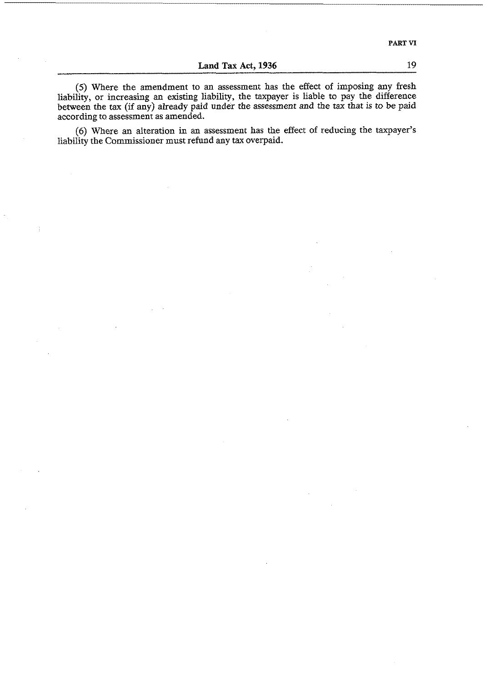**Land Tax Act, 1936** 

(5) Where the amendment to an assessment has the effect of imposing any fresh liability, or increasing an existing liability, the taxpayer is liable to pay the difference between the tax (if any) already paid under the assessment and the tax that is to be paid according to assessment as amended.

(6) Where an alteration in an assessment has the effect of reducing the taxpayer's liability the Commissioner must refund any tax overpaid.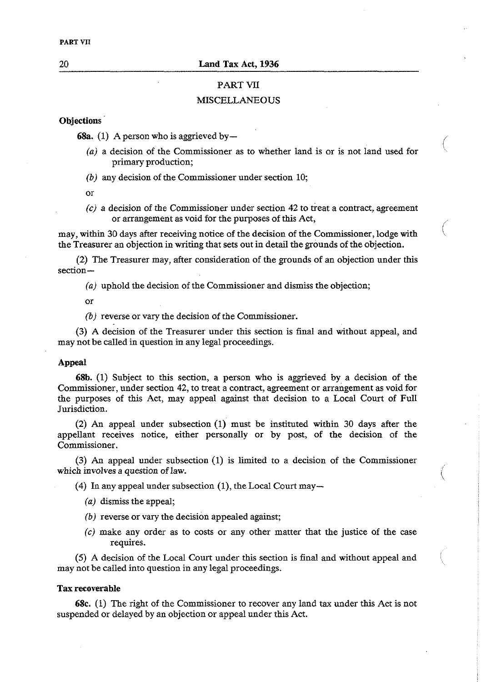#### 20 **Land Tax Act, 1936**

## PART **Vn:**

#### **MISCELLANEOUS**

## Objections<sup>1</sup>

**68a.** (1) A person who is aggrieved by  $-$ 

- $(a)$  a decision of the Commissioner as to whether land is or is not land used for primary production;
- *(b)* any decision of the Commissioner under section 10;

or

 $(c)$  a decision of the Commissioner under section 42 to treat a contract, agreement or arrangement as void for the purposes of this Act,

 $\binom{1}{2}$ 

may, within 30 days after receiving notice of the decision of the Commissioner, lodge with the Treasurer an objection in writing that sets out in detail the grounds of the objection.

(2) The Treasurer may, after consideration of the grounds of an objection under this section-

*(a)* uphold the decision of the Commissioner and dismiss the objection;

or

*(b)* reverse or vary the decision of the Commissioner.

**(3)** A decision of the Treasurer under this section is final and without appeal, and may not be called in question in any legal proceedings.

#### Appeal

**68b.** (1) Subject to this section, a person who is aggrieved by a decision of the Commissioner, under section 42, to treat a contract, agreement or arrangement as void for the purposes of this Act, may appeal against that decision to a Local Court of Full Jurisdiction.

(2) An appeal under subsection (I) must be instituted within 30 days after the appellant receives notice, either personally or by post, of the decision of the Commissioner.

**(3) An** appeal under subsection (1) is limited to a decision of the Commissioner which involves a question of law.

(4) In any appeal under subsection (1), the Local Court may-

- *(a)* dismiss the appeal,
- *(b)* reverse or vary the decision appealed against;
- **(c)** make any order as to costs or any other matter that the justice of the case requires.

(5) A decision of the Local Court under this section is final and without appeal and may not be called into question in any legal proceedings.

#### **Tax recoverable**

**68c. (1)** The right of the Commissioner to recover any land tax under this Act is not suspended or delayed by an objection or appeal under this Act.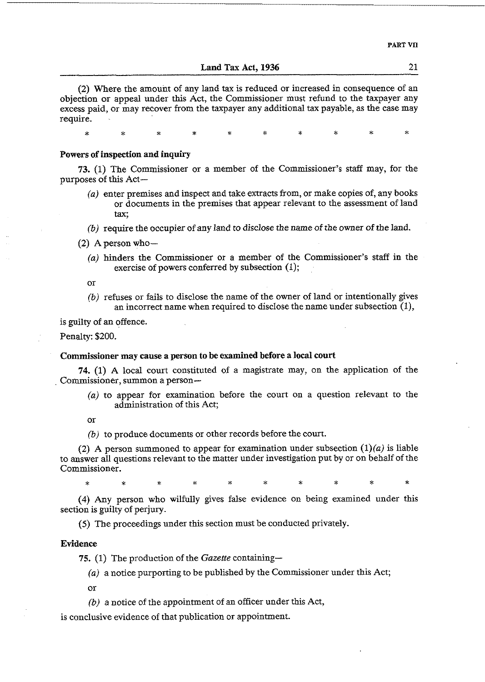Land Tax Act, **1936** 21

*(2)* Where the amount of any land tax is reduced or increased in consequence of an objection or appeal under this Act, the Commissioner must refund to the taxpayer any excess paid, or may recover from the taxpayer any additional tax payable, as the case may require.

\* \* \* \* \* \* **Y** \* \* \*

#### Powers of inspection and inquiry

**73.** *(1)* The Commissioner or a member of the Commissioner's staff may, for the purposes of this Act-

- *(aj* enter premises and inspect and take extracts from, or make copies of, any books or documents in the premises that appear relevant to the assessment of land tax;
- *(b)* require the occupier of any land to disclose the name of the owner of the land.
- $(2)$  A person who-
	- *(a)* hinders the Commissioner or a member of the Commissioner's staff in the exercise of powers conferred by subsection (1);
	- or
	- *(b)* refuses or fails to disclose the name of the owner of land or intentionally gives an incorrect name when required to disclose the name under subsection (I),

is guilty of an offence.

Penalty: *\$200.* 

#### Commissioner may **cause** a person to be examined before a local court

74. (1) A local court constituted of a magistrate may, on the application of the Commissioner, summon a person-

*(a)* to appear for examination before the court on a question relevant to the administration of this Act;

or

*(b)* to produce documents or other records before the court.

(2) A person summoned to appear for examination under subsection  $(1)(a)$  is liable to answer all questions relevant to the matter under investigation put by or on behalf of the Commissioner.

(4) Any person who wilfully gives false evidence on being examined under this section is guilty of perjury.

(5) The proceedings under this section must be conducted privately.

#### Evidence

**75. (1)** The production of the *Gazette* containing-

*(aj* a notice purporting to be published by the Commissioner under this Act;

or

 $(b)$  a notice of the appointment of an officer under this Act,

is conclusive evidence of that publication or appointment.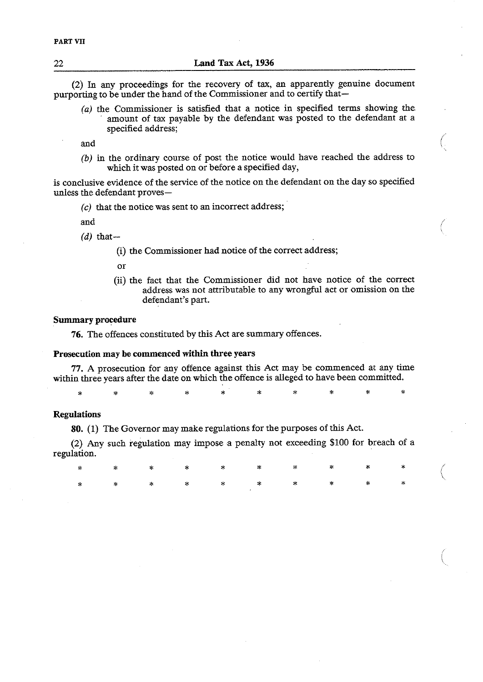(2) In any proceedings for the recovery of tax, an apparently genuine document purporting to be under the hand of the Commissioner and to certify that-

 $(a)$  the Commissioner is satisfied that a notice in specified terms showing the amount of tax payable by the defendant was posted to the defendant at a specified address;  $\bigcirc$ 

*(b)* in the ordinary course of post the notice would have reached the address to which it was posted on or before a specified day,

is conclusive evidence of the service of the notice on the defendant on the day so specified unless the defendant proves-

(c) that the notice was sent to an incorrect address;

and

 $(d)$  that-

(i) the Commissioner had notice of the correct address;

or

(ii) the fact that the Commissioner did not have notice of the correct address was not attributable to any wrongful act or omission on the defendant's part.

#### **Summary** procedure

76. The offences constituted by this Act are summary offences.

## Prosecution **may be** commenced within three years

77. **A** prosecution for any offence against this Act may be commenced at any time within three years after the date on which the offence is alleged to have been committed.

i. ż ÷

#### **Regulations**

80. **(1)** The Governor may make regulations for the purposes of this Act.

(2) **Any** such regulation may impose a penalty not exceeding \$100 for breach of a regulation.

\* \* \* \* \* \* \* \* \* \* (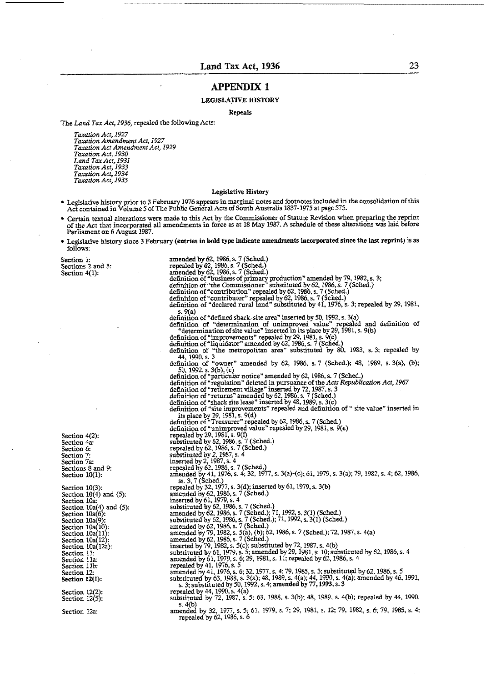#### **APPENDIX 1**

#### LEGISLATIVE HISTORY

Repeals

The *Land Tax Act,* 1936, repaled the following Acts:

*Taxudon Act,* 1927 *Taxadon Amendment Act,* 1927 *Teradon Act Amendmend Act,* I929 *Taxntion Act,* 1930 *Land T' Act,* <sup>1931</sup> *Taxation Act,* 1933 *Taxudon Act,* 1934 *Taxadon Act,* 1935

#### Legislative History

- Legislative history prior to 3 February 1976 appears in marginal notes and footnotes included in the consolidation of this<br>Act contained in Volume 5 of The Public General Acts of South Australia 1837-1975 at page 575.
- Certain textual alterations were made to this Act by the Commissioner of Statute Revision when preparing the reprint of the Act that incorporated all amendments in force as at 18 May 1987. A schedule of these alterations w Parliament on 6 August 1987.
- Legislative history since 3 February (entries in bold type indicate amendments incorporated since the last reprint) is as follows:

Section 1: Sections 2 and 3: Section 4(1):

Section 4a: Section 6: Section 7: Section 7a: Sections 8 and 9: Section 10(1): Section 10(3): Section  $10(4)$  and  $(5)$ :<br>Section 10a: Section  $10a(4)$  and  $(5)$ : Section 10a(6): Section 10a(9). Section  $10a(10)$ : Section 10a(11):<br>Section 10a(12): Section  $10a(12a)$ : Section 11: Section Ilz Secrion Ilb: Section 12: Section **12(1):** 

Section 4(2):

Section 12(2) Section  $12(5)$ :

Section 12a:

amended by 62,1986. s. 7 (Sched.) repealed by 62,1986, s. 7 (Sched.) amended by 62, 1986, s. 7 (Sched.)<br>definition of "business of primary production" amended by 79, 1982, s. 3; definition of "the Commissioner" substituted by 62, 1986, s. 7 (Sched.) definition of "contribution" repealed by 62, 1986, s. 7 (Sched.)<br>definition of "contributor" repealed by 62, 1986, s. 7 (Sched.)<br>definition of "declared rural land" substituted by 41, 1976, s. 3; repealed by s. 9(a)<br>definition of "defined shack-site area" inserted by 50, 1992, s. 3(a)<br>definition of "determination of unimproved value" repealed and definition of<br>"determination of site value" inserted in its place by 29, 1981, s. 44, 1990, s. 3<br>definition of "owner" amended by 62, 1986, s. 7 (Sched.); 48, 1989, s. 3(a), (b);<br>50, 1992, s. 3(b), (c)<br>definition of "particular notice" amended by 62, 1986, s. 7 (Sched.) definition of 'regulauon" deleted in pursuance of the *Acts Republicadon Act,* 1967 definition of "retirement village" inserted by 72, 1987, s. 3<br>definition of "returns" amended by 62, 1986, s. 7 (Sched.)<br>definition of "shack site lease" inserted by 48, 1989, s. 3(c)<br>definition of "site improvements" repe its place by 29, 1981, s.  $9(d)$ <br>definition of "Treasurer" repealed by 62, 1986, s. 7 (Sched.) definition of 'unimproved value" repealed by 29, 1981, s. 9(e) repealed by 29, 1981, s.  $9(f)$ substituted by 62,1986, s. 7 (Sched.) repealed by 62,1986, s. 7 (Sched.) substituted by 2,1987, s. 4 inserted by 2, 1987, s. 4<br>repealed by 62, 1986, s. 7 (Sched.)<br>amended by 41, 1976, s. 4; 32, 1977, s. 3(a)-(c); 61, 1979, s. 3(a); 79, 1982, s. 4; 62, 1986,<br>ss. 3, 7 (Sched.)<br>repealed by 32, 1977, s. 3(d); inserted by 61, amended by 62, 1986, s. 7 (Sched.) inserted by 61, 1979, s. 4 substituted by 62. 1986, s. 7 (Sched.) amended by 62,1986, s. 7 (Sched.); 71,1992, s. 3(1) (Sched.) substituted by 62,1986, s. 7 (Sched.); 71,1992, s. 3(1) (Sched.) amended by 62,1986. s. 7 (Sched.) amended by 79,1982, s. S(a), (b); 62,1986, s. 7 (Sched.); 72,1987, s. 4(a) amended by 62, 1986, s. 7 (Sched.)<br>inserted by 79, 1982, s. 5(c); substituted by 72, 1987, s. 4(b) substituted by 61, 1979, s. 5; amended by 29, 1981, s. 10; substituted by 62, 1986, s. 4<br>amended by 61, 1979, s. 6; 29, 1981, s. 11; repealed by 62, 1986, s. 4<br>repealed by 41, 1976, s. 5<br>amended by 41, 1976, s. 6; 32, 1977 substituted by 63, 1988, s. 3(a); 48, 1989, s. 4(a); 44, 1990, s. 4(a); amended by 46, 1991,<br>s. 3; substituted by 50, 1992, s. 4; amended by 77, 1993, s. 3<br>repealed by 44, 1990, s. 4(a) substituted by 44, 1990, s. 4(a)<br>substituted by 72, 1987, s. 5; 63, 1988, s. 3(b); 48, 1989, s. 4(b); repealed by 44, 1990, s. 4(b) amended by 32. 1977, s. 5; 61, 1979, s. 7: 29, 1981. s. 12; 79, 1982, s. 6; 79, 1985, s. 4; repealed by 62,1986, s. 6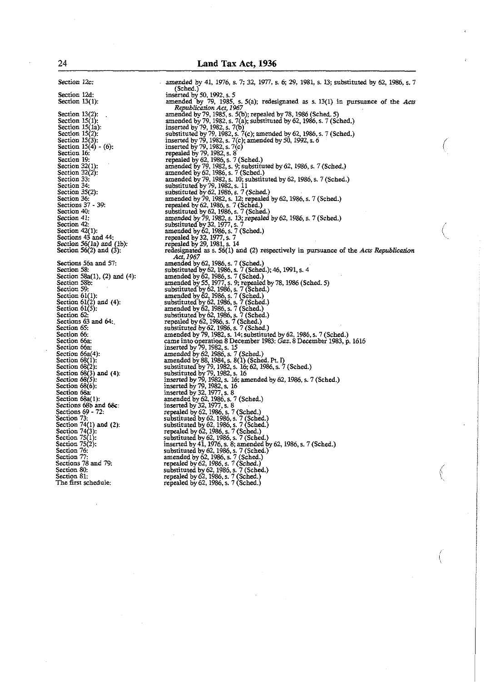Section 12c: Section 12d: Section 13(1): Section  $13(2)$ :<br>Section  $15(1)$ : Section  $15(1a)$ : Section 15(2).<br>Section 15(3):<br>Section 16:<br>Section 16: Section 19: Section  $32(1)$ : Section  $32(2)$ : Section 33: Section 34: Section 35(2): Section 35(2):<br>Section 36:<br>Sections 37 - 39: Section 40:<br>Section 41: Section 42: Section 42(1): Sections 43 and 44:<br>Section 56(1a) and (1b):<br>Section 56(2) and (3): Sections 56a and 57:<br>Section 58: Section 58a(1), (2) and (4):<br>Section 58b: Section 59: Section 53:<br>Section 61(1):<br>Section 61(2) and (4):<br>Section 61(5): Section 62: Sections 63 and **64:**  Section 65: Section 66: Section 66a: Section 66a: Section 66a(4):<br>Section 68(1):<br>Section 68(2):<br>Section 68(3) and (4):<br>Section 68(5): Section **68(6):** Section **68a:**  Section 68a(l): Section **68d** 1*j*.<br>Sections 68b and 68c:<br>Sections 69 - 72: Section 73:<br>Section 74(1) and **(2)**: Section 74(1) a<br>Section 74(3):<br>Section 75(1):<br>Section 76:<br>Section 76: Section 74(3):<br>Section 75(1): Section 76: Section 77: Sections 78 and 79: Section 80: Section 81: The first schedule:

amended by 41, 1976, s. 7; 32, 1977, s. 6; 29, 1981, s. 13; substituted by 62, 1986, s. 7<br>
(Sched.)<br>
inserted by 50, 1992, s. 5<br>
amended by 79, 1985, s. 5(a); redesignated as s. 13(1) in pursuance of the *Acts*<br> *Republica* amended by 79,1985, s. 50); repealed by 78,1986 (Sched. 5) amended by 79, 1982, s. 7(a); substituted by 62.1986, s. 7 (Sched.) inserted by 79, 1982, s. 7(b)<br>substituted by 79, 1982, s. 7(c); amended by 62, 1986, s. 7 (Sched.)<br>inserted by 79, 1982, s. 7(c); amended by 50, 1992, s. 6 inserted by 79.1982, s. 7(c) repealed by 79,1982, s. 8 repealed by 62, 1986, s. 7 (Sched.)<br>amended by 79, 1982, s. 9; substituted by 62, 1986, s. 7 (Sched.)<br>amended by 62, 1986, s. 7 (Sched.) amended by 79, 1982, s. 10; substituted by 62, 1986, s. 7 (Sched.)<br>substituted by 79, 1982, s. 11<br>substituted by 62, 1986, s. 7 (Sched.) amended by 79, 1982, s. 12; repealed by 62, 1986, s. 7 (Sched.)<br>repealed by 62, 1986, s. 7 (Sched.)<br>substituted by 62, 1986, s. 7 (Sched.)<br>amended by 79, 1982, s. 13; repealed by 62, 1986, s. 7 (Sched.)<br>substituted by 32, amended by 62, 1986, s. 7 (Sched.)<br>substituted by 62, 1986, s. 7 (Sched.): 46, 1991, s. 4<br>amended by 62, 1986, s. 7 (Sched.) amended by 55, 1977, s. 9; repealed by 78, 1986 (Sched. 5)<br>substituted by 62, 1986, s. 7 (Sched.)<br>amended by 62, 1986, s. 7 (Sched.)<br>substituted by 62, 1986, s. 7 (Sched.)<br>amended by 62, 1986, s. 7 (Sched.)<br>substituted by repealed by 62, 1986, s. 7 (Sched.)<br>substituted by 62, 1986, s. 7 (Sched.)<br>substituted by 62, 1986, s. 7 (Sched.) repealed by 62, 1986, s. 7 (Sched.)<br>substituted by 62, 1986, s. 7 (Sched.) inserted by  $41, 1976, s. 8$ ; amended by substituted by  $62, 1986, s. 7$  (Sched.)<br>amended by  $62, 1986, s. 7$  (Sched.)<br>repealed by  $62, 1986, s. 7$  (Sched.)<br>substituted by  $62, 1986, s. 7$  (Sched.)<br>substituted by  $62, 1986, s.$ repealed by 62,1986, s. 7 (Sched:] 7 (Sched.)